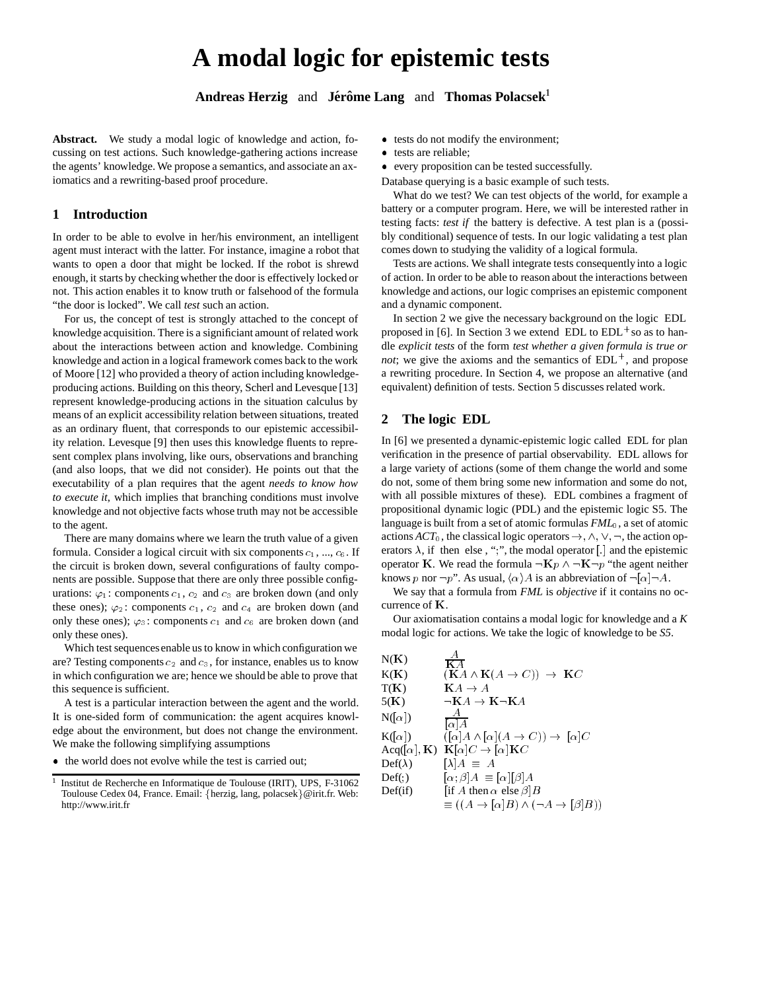# **A modal logic for epistemic tests**

Andreas Herzig and Jérôme Lang and Thomas Polacsek<sup>1</sup>

**Abstract.** We study a modal logic of knowledge and action, focussing on test actions. Such knowledge-gathering actions increase the agents' knowledge. We propose a semantics, and associate an axiomatics and a rewriting-based proof procedure.

## **1 Introduction**

In order to be able to evolve in her/his environment, an intelligent agent must interact with the latter. For instance, imagine a robot that wants to open a door that might be locked. If the robot is shrewd enough, it starts by checking whether the door is effectively locked or not. This action enables it to know truth or falsehood of the formula "the door is locked". We call *test* such an action.

For us, the concept of test is strongly attached to the concept of knowledge acquisition. There is a significiant amount of related work about the interactions between action and knowledge. Combining knowledge and action in a logical framework comes back to the work of Moore [12] who provided a theory of action including knowledgeproducing actions. Building on this theory, Scherl and Levesque [13] represent knowledge-producing actions in the situation calculus by means of an explicit accessibility relation between situations, treated as an ordinary fluent, that corresponds to our epistemic accessibility relation. Levesque [9] then uses this knowledge fluents to represent complex plans involving, like ours, observations and branching (and also loops, that we did not consider). He points out that the executability of a plan requires that the agent *needs to know how to execute it*, which implies that branching conditions must involve knowledge and not objective facts whose truth may not be accessible to the agent.

There are many domains where we learn the truth value of a given formula. Consider a logical circuit with six components  $c_1$ , ...,  $c_6$ . If the circuit is broken down, several configurations of faulty components are possible. Suppose that there are only three possible configurations:  $\varphi_1$ : components  $c_1$ ,  $c_2$  and  $c_3$  are broken down (and only these ones);  $\varphi_2$ : components  $c_1$ ,  $c_2$  and  $c_4$  are broken down (and only these ones);  $\varphi_3$ : components  $c_1$  and  $c_6$  are broken down (and only these ones).

Which test sequencesenable us to know in which configuration we are? Testing components  $c_2$  and  $c_3$ , for instance, enables us to know in which configuration we are; hence we should be able to prove that this sequence is sufficient.

A test is a particular interaction between the agent and the world. It is one-sided form of communication: the agent acquires knowledge about the environment, but does not change the environment. We make the following simplifying assumptions

the world does not evolve while the test is carried out;

- tests do not modify the environment;
- tests are reliable;
- every proposition can be tested successfully.
- Database querying is a basic example of such tests.

What do we test? We can test objects of the world, for example a battery or a computer program. Here, we will be interested rather in testing facts: *test if* the battery is defective. A test plan is a (possibly conditional) sequence of tests. In our logic validating a test plan comes down to studying the validity of a logical formula.

Tests are actions. We shall integrate tests consequently into a logic of action. In order to be able to reason about the interactions between knowledge and actions, our logic comprises an epistemic component and a dynamic component.

In section 2 we give the necessary background on the logic EDL proposed in [6]. In Section 3 we extend EDL to  $EDL^+$  so as to handle *explicit tests* of the form *test whether a given formula is true or not*; we give the axioms and the semantics of  $EDL^+$ , and propose a rewriting procedure. In Section 4, we propose an alternative (and equivalent) definition of tests. Section 5 discusses related work.

## **2 The logic EDL**

In [6] we presented a dynamic-epistemic logic called EDL for plan verification in the presence of partial observability. EDL allows for a large variety of actions (some of them change the world and some do not, some of them bring some new information and some do not, with all possible mixtures of these). EDL combines a fragment of propositional dynamic logic (PDL) and the epistemic logic S5. The language is built from a set of atomic formulas *FML*0, a set of atomic actions  $ACT_0$ , the classical logic operators  $\rightarrow$ ,  $\land$ ,  $\lor$ ,  $\neg$ , the action operators  $\lambda$ , if then else, ";", the modal operator [.] and the epistemic operator K. We read the formula  $\neg$ K $p \wedge \neg$ K $\neg$  "the agent neither knows p nor  $\neg p$ ". As usual,  $\langle \alpha \rangle A$  is an abbreviation of  $\neg [\alpha]\neg A$ .

We say that a formula from *FML* is *objective* if it contains no occurrence of <sup>K</sup>.

Our axiomatisation contains a modal logic for knowledge and a *K* modal logic for actions. We take the logic of knowledge to be *S5*.

| N(K)                    | А<br>$K\overline{A}$                                                     |
|-------------------------|--------------------------------------------------------------------------|
| K(K)                    | $(KA \wedge K(A \rightarrow C)) \rightarrow KC$                          |
| T(K)                    | $KA \rightarrow A$                                                       |
| 5(K)                    | $\neg$ <b>K</b> $A \rightarrow$ <b>K</b> $\neg$ <b>K</b> $A$             |
| $N(\alpha)$             | А<br>$\lceil \alpha \rceil A$                                            |
| $K([\alpha])$           | $([\alpha] A \wedge [\alpha] (A \rightarrow C)) \rightarrow [\alpha] C$  |
|                         | Acq([a], K) $K[\alpha]C \rightarrow [\alpha]K C$                         |
| $\mathrm{Def}(\lambda)$ | $[\lambda]A \equiv A$                                                    |
| Def(.)                  | $[\alpha;\beta]A \equiv [\alpha][\beta]A$                                |
| Def(if)                 | [if A then $\alpha$ else $\beta$ ] $B$                                   |
|                         | $\equiv ((A \rightarrow [\alpha]B) \land (\neg A \rightarrow [\beta]B))$ |

<sup>&</sup>lt;sup>1</sup> Institut de Recherche en Informatique de Toulouse (IRIT), UPS, F-31062 Toulouse Cedex 04, France. Email: { $herzig, lang, polacsek$ } @irit.fr. Web: http://www.irit.fr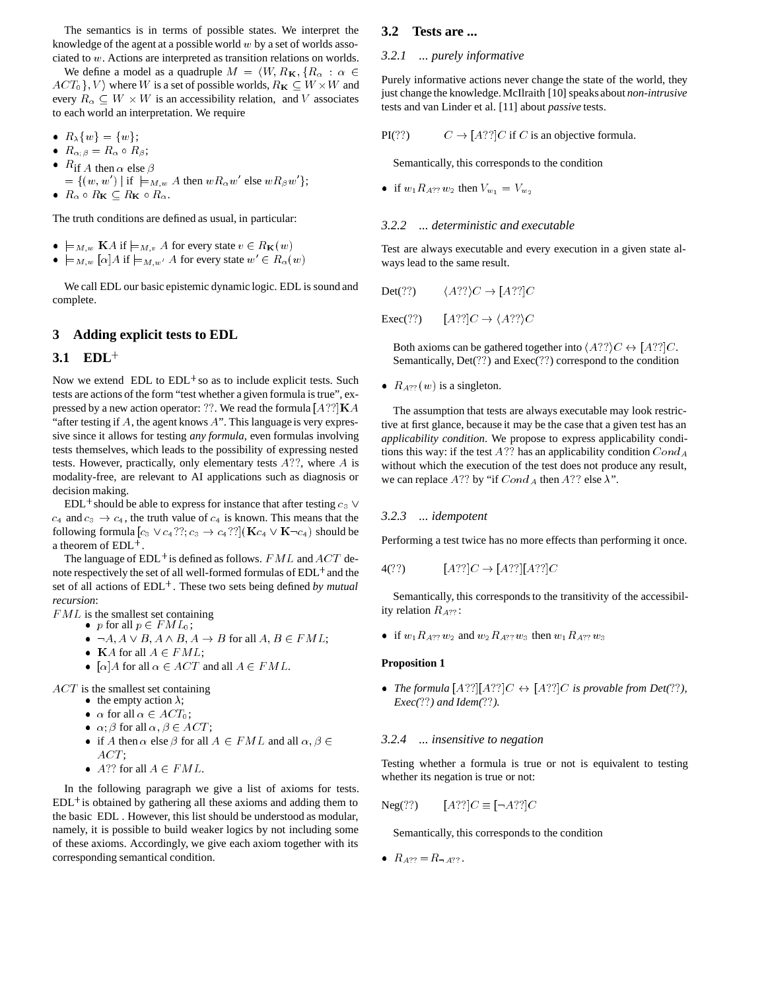The semantics is in terms of possible states. We interpret the knowledge of the agent at a possible world  $w$  by a set of worlds associated to <sup>w</sup>. Actions are interpreted as transition relations on worlds.

We define a model as a quadruple  $M = \langle W, R_K, \{R_\alpha : \alpha \in$  $ACT_0$ ,  $V$  where W is a set of possible worlds,  $R_K \subseteq W \times W$  and every  $R_{\alpha} \subseteq W \times W$  is an accessibility relation, and V associates to each world an interpretation. We require

- $R_{\lambda}\{w\} = \{w\};$
- $R_{\alpha;\beta}=R_\alpha\circ R_\beta;$
- $R$ if A then  $\alpha$  else  $\beta$
- $=\{(w,w')\mid \text{if } \models_{M,w} A \text{ then } wR_{\alpha}w' \text{ else } wR_{\beta}w'\};$
- $\bullet$   $R_{\alpha} \circ R_{\mathbf{K}} \subseteq R_{\mathbf{K}} \circ R_{\alpha}$ .

The truth conditions are defined as usual, in particular:

- $\bullet \models_{M,w} K A \text{ if } \models_{M,v} A \text{ for every state } v \in R_{\mathbf{K}}(w)$
- $\bullet \models_{M,w} [\alpha] A \text{ if } \models_{M,w'} A \text{ for every state } w' \in R_\alpha(w)$

We call EDL our basic epistemic dynamic logic. EDL is sound and complete.

## **3 Adding explicit tests to EDL**

## **3.1 EDL**<sup>+</sup>

Now we extend  $EDL$  to  $EDL<sup>+</sup>$  so as to include explicit tests. Such tests are actions of the form "test whether a given formula is true", expressed by a new action operator: ??. We read the formula  $[A??]$ K A "after testing if  $A$ , the agent knows  $A$ ". This language is very expressive since it allows for testing *any formula*, even formulas involving tests themselves, which leads to the possibility of expressing nested tests. However, practically, only elementary tests  $A$ ??, where  $A$  is modality-free, are relevant to AI applications such as diagnosis or decision making.

EDL<sup>+</sup> should be able to express for instance that after testing  $c_3 \vee$  $c_4$  and  $c_3 \rightarrow c_4$ , the truth value of  $c_4$  is known. This means that the following formula  $[c_3 \vee c_4$ ??;  $c_3 \rightarrow c_4$ ??]( $\mathbf{K}c_4 \vee \mathbf{K} \neg c_4$ ) should be a theorem of EDL<sup>+</sup> .

The language of EDL<sup>+</sup> is defined as follows.  $FML$  and  $ACT$  denote respectively the set of all well-formed formulas of  $\mathrm{EDL}^+$  and the set of all actions of  $EDL^+$ . These two sets being defined *by mutual recursion*:

 $FML$  is the smallest set containing

- p for all  $p \in FML_0$ ;
- $\bullet \ \neg A, A \lor B, A \land B, A \rightarrow B$  for all  $A, B \in FML$ ;
- KA for all  $A \in FML$ ;
- [ $\alpha$ ] A for all  $\alpha \in ACT$  and all  $A \in FML$ .

ACT is the smallest set containing

- the empty action  $\lambda$ ;
- $\alpha$  for all  $\alpha \in ACT_0$ ;
- $\alpha$ ;  $\beta$  for all  $\alpha, \beta \in ACT$ ;
- if A then  $\alpha$  else  $\beta$  for all  $A \in FML$  and all  $\alpha, \beta \in$  $ACT;$
- A?? for all  $A \in FML$ .

In the following paragraph we give a list of axioms for tests.  $EDL^+$  is obtained by gathering all these axioms and adding them to the basic EDL . However, this list should be understood as modular, namely, it is possible to build weaker logics by not including some of these axioms. Accordingly, we give each axiom together with its corresponding semantical condition.

## **3.2 Tests are ...**

#### *3.2.1 ... purely informative*

Purely informative actions never change the state of the world, they just change the knowledge. McIlraith [10] speaks about *non-intrusive* tests and van Linder et al. [11] about *passive* tests.

PI(??)  $C \to [A?$ ? [C if C is an objective formula.

Semantically, this corresponds to the condition

if  $w_1 R_{A?} w_2$  then  $V_{w_1} = V_{w_2}$ 

## *3.2.2 ... deterministic and executable*

Test are always executable and every execution in a given state always lead to the same result.

$$
Det(??) \qquad \langle A?? \rangle C \to [A??]C
$$

$$
Exec(?!) \qquad [A??]C \to \langle A?? \rangle C
$$

Both axioms can be gathered together into  $\langle A?? \rangle C \leftrightarrow [A??]C$ . Semantically, Det(??) and Exec(??) correspond to the condition

•  $R_{A??}(w)$  is a singleton.

The assumption that tests are always executable may look restrictive at first glance, because it may be the case that a given test has an *applicability condition*. We propose to express applicability conditions this way: if the test A?? has an applicability condition  $Cond_A$ without which the execution of the test does not produce any result, we can replace A?? by "if  $Cond_A$  then A?? else  $\lambda$ ".

#### *3.2.3 ... idempotent*

Performing a test twice has no more effects than performing it once.

$$
4(??)\qquad [A??]C \to [A??][A??]C
$$

Semantically, this corresponds to the transitivity of the accessibility relation  $R_{A$ ?? :

if  $w_1R_{A?}$ ?w<sub>2</sub> and  $w_2R_{A?}$ ?w<sub>3</sub> then  $w_1R_{A?}$ ?w<sub>3</sub>

#### **Proposition 1**

• *The formula*  $[A?] [A?] [C \leftrightarrow [A?]] C$  *is provable from Det*(??*)*, *Exec(*??*) and Idem(*??*).*

#### *3.2.4 ... insensitive to negation*

Testing whether a formula is true or not is equivalent to testing whether its negation is true or not:

$$
Neg(??) \qquad [A?]C \equiv [\neg A?]C
$$

Semantically, this corresponds to the condition

•  $R_{A??} = R_{A??}$ .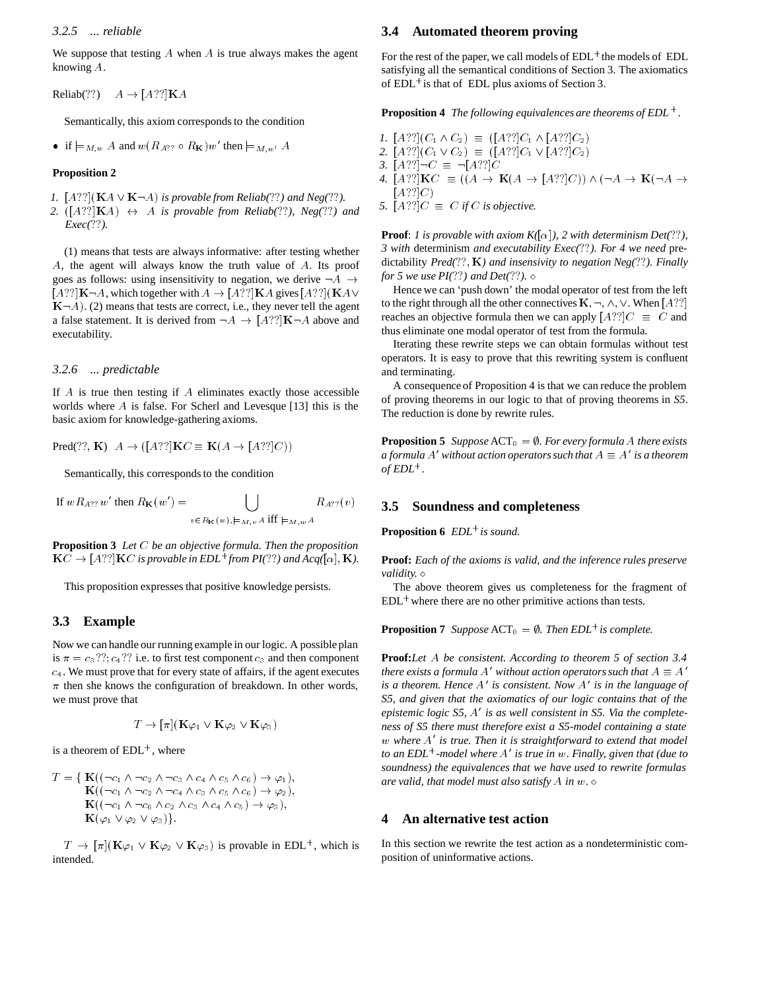#### *3.2.5 ... reliable*

We suppose that testing  $A$  when  $A$  is true always makes the agent knowing A.

Reliab(??)  $A \rightarrow [A?$ ?]**K**A

Semantically, this axiom corresponds to the condition

• if  $\models_{M,w} A$  and  $w(R_{A??} \circ R_{\mathbf{K}})w'$  then  $\models_{M,w'} A$ 

#### **Proposition 2**

*1.*  $[A??](\mathbf{K}A \vee \mathbf{K} \neg A)$  *is provable from Reliab*(??*) and Neg*(??*)*.

2.  $([A??]**K**A) \leftrightarrow A$  *is provable from Reliab*(??*), Neg(*??*)* and *Exec(*??*).*

(1) means that tests are always informative: after testing whether A, the agent will always know the truth value of A. Its proof goes as follows: using insensitivity to negation, we derive  $\neg A \rightarrow$  $[A?]$ **K** $\neg A$ , which together with  $A \rightarrow [A?]$ **K** $A$  gives  $[A?]$  (**K** $A \vee$  $K\neg A$ ). (2) means that tests are correct, i.e., they never tell the agent a false statement. It is derived from  $\neg A \rightarrow [A?']\mathbf{K}\neg A$  above and executability.

#### *3.2.6 ... predictable*

If  $A$  is true then testing if  $A$  eliminates exactly those accessible worlds where  $A$  is false. For Scherl and Levesque [13] this is the basic axiom for knowledge-gathering axioms.

 $Pred(??, K)$   $A \rightarrow ([A??]KC \equiv K(A \rightarrow [A??]C))$ 

Semantically, this corresponds to the condition

If 
$$
wR_{A}
$$
?  $w'$  then  $R_K(w') = \bigcup_{v \in R_K(w), \models_{M, v} A} R_{A}$ ?  $(v)$ 

**Proposition 3** *Let* C *be an objective formula. Then the proposition*  $KC \rightarrow [A?]$ **K**C is provable in EDL<sup>+</sup> from PI(??) and Acq([ $\alpha$ ], **K**).

This proposition expresses that positive knowledge persists.

## **3.3 Example**

Now we can handle our running example in our logic. A possible plan is  $\pi = c_3$ ??;  $c_4$ ?? i.e. to first test component  $c_3$  and then component  $c<sub>4</sub>$ . We must prove that for every state of affairs, if the agent executes  $\pi$  then she knows the configuration of breakdown. In other words, we must prove that

$$
T \to [\pi] (\mathbf{K} \varphi_1 \vee \mathbf{K} \varphi_2 \vee \mathbf{K} \varphi_3)
$$

is a theorem of  $EDL^+$ , where

$$
T = \{ \mathbf{K}((\neg c_1 \land \neg c_2 \land \neg c_3 \land c_4 \land c_5 \land c_6) \rightarrow \varphi_1), \n\mathbf{K}((\neg c_1 \land \neg c_2 \land \neg c_4 \land c_3 \land c_5 \land c_6) \rightarrow \varphi_2), \n\mathbf{K}((\neg c_1 \land \neg c_6 \land c_2 \land c_3 \land c_4 \land c_5) \rightarrow \varphi_3), \n\mathbf{K}(\varphi_1 \lor \varphi_2 \lor \varphi_3) \}.
$$

 $T \to [\pi] (K \varphi_1 \vee K \varphi_2 \vee K \varphi_3)$  is provable in EDL<sup>+</sup>, which is intended.

## **3.4 Automated theorem proving**

For the rest of the paper, we call models of  $EDL^+$  the models of  $EDL$ satisfying all the semantical conditions of Section 3. The axiomatics of EDL<sup>+</sup> is that of EDL plus axioms of Section 3.

**Proposition 4** *The following equivalences are theorems of EDL* <sup>+</sup> *.*

- *1.*  $[A??] (C_1 \wedge C_2) \equiv ([A??] C_1 \wedge [A??] C_2)$ 2.  $[A??](C_1 \vee C_2) \equiv ([A??]C_1 \vee [A??]C_2)$
- 
- *3.*  $[A??] \neg C \equiv \neg [A??]C$
- *4.*  $[A?]$ **K** $C \equiv ((A \rightarrow \mathbf{K}(A \rightarrow [A?]C)) \wedge (\neg A \rightarrow \mathbf{K}(\neg A \rightarrow$  $[A??]C$
- *5.*  $[A?]C \equiv C$  *if C is objective.*

**Proof**: *1* is provable with axiom  $K([\alpha])$ , 2 with determinism Det(??), *3 with* determinism *and executability Exec(*??*). For 4 we need* predictability *Pred(*??;<sup>K</sup>*) and insensivity to negation Neg(*??*). Finally for 5 we use PI(*??*) and Det(*??*).*

Hence we can 'push down' the modal operator of test from the left to the right through all the other connectives  $K, \neg, \wedge, \vee$ . When [A??] reaches an objective formula then we can apply  $[A?]C \equiv C$  and thus eliminate one modal operator of test from the formula.

Iterating these rewrite steps we can obtain formulas without test operators. It is easy to prove that this rewriting system is confluent and terminating.

A consequence of Proposition 4 is that we can reduce the problem of proving theorems in our logic to that of proving theorems in *S5*. The reduction is done by rewrite rules.

**Proposition 5** *Suppose*  $ACT_0 = \emptyset$ *. For every formula* A *there exists* a formula  $A'$  without action operators such that  $A\equiv A'$  is a theorem  $of EDL^{+}$  .

#### **3.5 Soundness and completeness**

**Proposition 6** *EDL*<sup>+</sup> *is sound.*

**Proof:** *Each of the axioms is valid, and the inference rules preserve validity.*

The above theorem gives us completeness for the fragment of EDL<sup>+</sup> where there are no other primitive actions than tests.

**Proposition 7** *Suppose*  $ACT_0 = \emptyset$ *. Then EDL<sup>+</sup> is complete.* 

**Proof:***Let* A *be consistent. According to theorem 5 of section 3.4 there exists a formula A' without action operators such that*  $A \equiv A'$ *is a theorem. Hence A' is consistent. Now A' is in the language of S5, and given that the axiomatics of our logic contains that of the* epistemic logic S5, A' is as well consistent in S5. Via the complete*ness of S5 there must therefore exist a S5-model containing a state* w where A<sup>'</sup> is true. Then it is straightforward to extend that model *to an EDL*<sup>+</sup> *-model where* A<sup>0</sup> *is true in* w*. Finally, given that (due to soundness) the equivalences that we have used to rewrite formulas are valid, that model must also satisfy* <sup>A</sup> *in* <sup>w</sup>*.*

## **4 An alternative test action**

In this section we rewrite the test action as a nondeterministic composition of uninformative actions.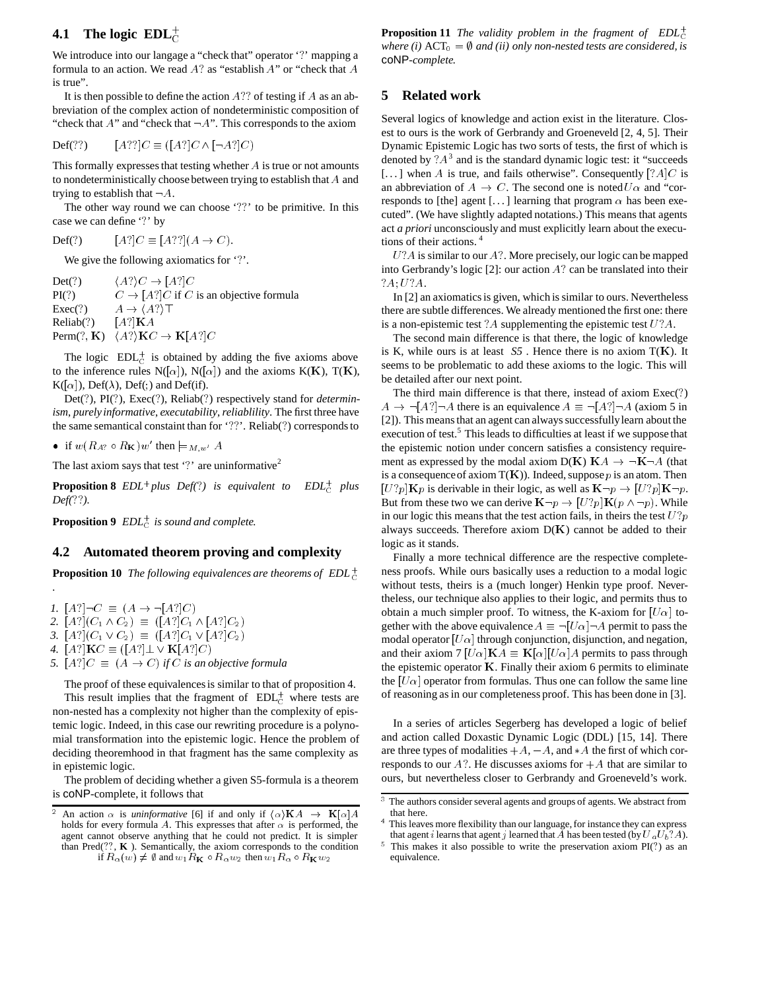# **4.1** The logic  $EDL<sub>C</sub><sup>+</sup>$

We introduce into our langage a "check that" operator '?' mapping a formula to an action. We read  $A$ ? as "establish  $A$ " or "check that  $A$ is true".

It is then possible to define the action  $A$ ?? of testing if  $A$  as an abbreviation of the complex action of nondeterministic composition of "check that  $A$ " and "check that  $\neg A$ ". This corresponds to the axiom

$$
\text{Def}(??) \qquad [A??]C \equiv ([A?]C \land [\neg A?]C)
$$

This formally expresses that testing whether  $A$  is true or not amounts to nondeterministically choose between trying to establish that <sup>A</sup> and trying to establish that  $\neg A$ .

The other way round we can choose '??' to be primitive. In this case we can define '?' by

Def(?)  $[A!]C \equiv [A?][A \rightarrow C).$ 

We give the following axiomatics for '?'.

| Det(?)         | $\langle A? \rangle C \rightarrow [A?] C$                   |
|----------------|-------------------------------------------------------------|
| PI(?)          | $C \rightarrow [A!]C$ if C is an objective formula          |
| $Exec$ (?)     | $A \rightarrow \langle A? \rangle \top$                     |
| $Reliab$ $(?)$ | $[A!]$ KA                                                   |
|                | Perm $(?, K)$ $\langle A? \rangle$ K $C \rightarrow K[A?]C$ |

The logic  $EDL_C^+$  is obtained by adding the five axioms above to the inference rules  $N([\alpha])$ ,  $N([\alpha])$  and the axioms  $K(K)$ ,  $T(K)$ ,  $K([\alpha])$ , Def( $\lambda$ ), Def(;) and Def(if).

Det(?), PI(?), Exec(?), Reliab(?) respectively stand for *determinism*, *purely informative*, *executability*,*reliablility*. The first three have the same semantical constaint than for '??'. Reliab(?) corresponds to

• if  $w(R_A; \circ R_K)w'$  then  $\models_{M,w'} A$ 

*.*

The last axiom says that test '?' are uninformative<sup>2</sup>

**Proposition 8**  $EDL^+$ *plus Def*(?) is equivalent to  $EDL^+$  plu  $EDL_C^+$  plus *Def(*??*).*

**Proposition 9**  $EDL_C^+$  *is sound and complete.* 

#### **4.2 Automated theorem proving and complexity**

**Proposition 10** *The following equivalences are theorems of EDL*<sup> $+$ </sup>

- *1.*  $[A!] \neg C \equiv (A \rightarrow \neg [A!]C)$ 2.  $[A?] (C_1 \wedge C_2) \equiv ([A?] C_1 \wedge [A?] C_2)$ *3.*  $[A?] (C_1 \vee C_2) \equiv ([A?] C_1 \vee [A?] C_2)$ *4.*  $[A?]$ **K** $C \equiv ([A?] \perp \vee \mathbf{K}[A?] C)$
- *5.*  $[A!]C \equiv (A \rightarrow C)$  *if C is an objective formula*

The proof of these equivalences is similar to that of proposition 4. This result implies that the fragment of  $EDL_C^+$  where tests are non-nested has a complexity not higher than the complexity of epistemic logic. Indeed, in this case our rewriting procedure is a polynomial transformation into the epistemic logic. Hence the problem of deciding theoremhood in that fragment has the same complexity as in epistemic logic.

The problem of deciding whether a given S5-formula is a theorem is coNP-complete, it follows that

**Proposition 11** *The validity problem in the fragment of EDL*<sup>+</sup> *where (i)*  $ACT_0 = \emptyset$  *and (ii) only non-nested tests are considered, is* coNP*-complete.*

## **5 Related work**

Several logics of knowledge and action exist in the literature. Closest to ours is the work of Gerbrandy and Groeneveld [2, 4, 5]. Their Dynamic Epistemic Logic has two sorts of tests, the first of which is denoted by  $?A^3$  and is the standard dynamic logic test: it "succeeds" [...] when A is true, and fails otherwise". Consequently  $[?A]C$  is an abbreviation of  $A \to C$ . The second one is noted  $U \alpha$  and "corresponds to [the] agent [...] learning that program  $\alpha$  has been executed". (We have slightly adapted notations.) This means that agents act *a priori* unconsciously and must explicitly learn about the executions of their actions. <sup>4</sup>

 $U?A$  is similar to our  $A?$ . More precisely, our logic can be mapped into Gerbrandy's logic [2]: our action <sup>A</sup>? can be translated into their ?A; U?A.

In [2] an axiomatics is given, which is similar to ours. Nevertheless there are subtle differences. We already mentioned the first one: there is a non-epistemic test ? A supplementing the epistemic test  $U$ ? A.

The second main difference is that there, the logic of knowledge is K, while ours is at least *. Hence there is no axiom*  $T(K)$ *. It* seems to be problematic to add these axioms to the logic. This will be detailed after our next point.

The third main difference is that there, instead of axiom Exec(?)  $A \rightarrow \neg[A?] \neg A$  there is an equivalence  $A \equiv \neg[A?] \neg A$  (axiom 5 in [2]). This means that an agent can always successfullylearn about the execution of test.<sup>5</sup> This leads to difficulties at least if we suppose that the epistemic notion under concern satisfies a consistency requirement as expressed by the modal axiom  $D(K) K A \rightarrow \neg K \neg A$  (that is a consequence of axiom  $T(K)$ ). Indeed, suppose p is an atom. Then  $[U?p]$ Kp is derivable in their logic, as well as  $K\neg p \rightarrow [U?p]K\neg p$ . But from these two we can derive  $\mathbf{K}\neg p \rightarrow [U?p]\mathbf{K}(p \wedge \neg p)$ . While in our logic this means that the test action fails, in theirs the test  $U$ ?p always succeeds. Therefore axiom  $D(K)$  cannot be added to their logic as it stands.

Finally a more technical difference are the respective completeness proofs. While ours basically uses a reduction to a modal logic without tests, theirs is a (much longer) Henkin type proof. Nevertheless, our technique also applies to their logic, and permits thus to obtain a much simpler proof. To witness, the K-axiom for  $[U\alpha]$  together with the above equivalence  $A \equiv \neg[U\alpha]\neg A$  permit to pass the modal operator  $[U\alpha]$  through conjunction, disjunction, and negation, and their axiom 7  $[U\alpha]K A \equiv K[\alpha][U\alpha]A$  permits to pass through the epistemic operator <sup>K</sup>. Finally their axiom 6 permits to eliminate the  $[U\alpha]$  operator from formulas. Thus one can follow the same line of reasoning as in our completeness proof. This has been done in [3].

In a series of articles Segerberg has developed a logic of belief and action called Doxastic Dynamic Logic (DDL) [15, 14]. There are three types of modalities  $+A$ ,  $-A$ , and  $*A$  the first of which corresponds to our  $A$ ?. He discusses axioms for  $+A$  that are similar to ours, but nevertheless closer to Gerbrandy and Groeneveld's work.

<sup>&</sup>lt;sup>2</sup> An action  $\alpha$  is *uninformative* [6] if and only if  $\langle \alpha \rangle$  **K** $A \rightarrow \mathbf{K}[\alpha]A$ holds for every formula A. This expresses that after  $\alpha$  is performed, the agent cannot observe anything that he could not predict. It is simpler than  $Pred(??, K)$ . Semantically, the axiom corresponds to the condition if  $R_{\alpha}(w) \neq \emptyset$  and  $w_1R_{\mathbf{K}} \circ R_{\alpha}w_2$  then  $w_1R_{\alpha} \circ R_{\mathbf{K}}w_2$ 

<sup>&</sup>lt;sup>3</sup> The authors consider several agents and groups of agents. We abstract from that here.

<sup>&</sup>lt;sup>4</sup> This leaves more flexibility than our language, for instance they can express that agent *i* learns that agent *j* learned that A has been tested (by  $U_a U_b? A$ ).

 $5$  This makes it also possible to write the preservation axiom PI(?) as an equivalence.